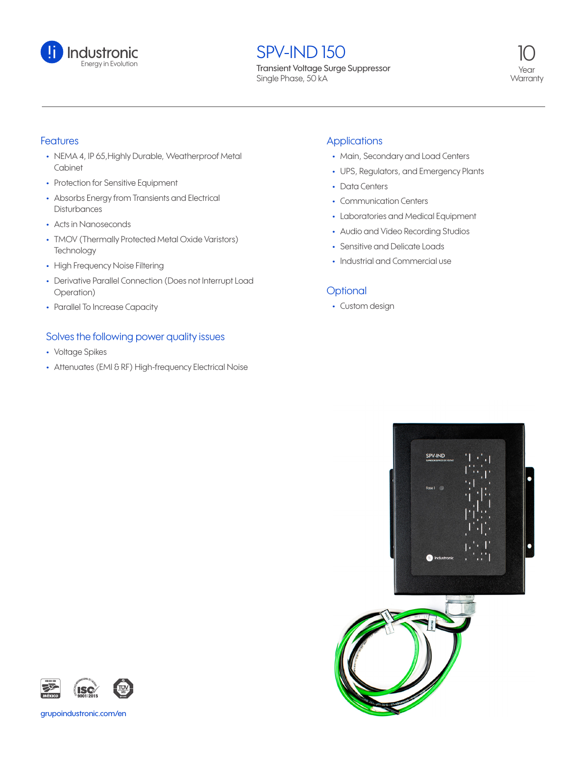

# **SPV-IND 150**

Transient Voltage Surge Suppressor Single Phase, 50 kA



#### Features

- **•** NEMA 4, IP 65,Highly Durable, Weatherproof Metal Cabinet
- **•** Protection for Sensitive Equipment
- **•** Absorbs Energy from Transients and Electrical **Disturbances**
- **•** Acts in Nanoseconds
- **•** TMOV (Thermally Protected Metal Oxide Varistors) **Technology**
- **•** High Frequency Noise Filtering
- **•** Derivative Parallel Connection (Does not Interrupt Load Operation)
- **•** Parallel To Increase Capacity

#### Solves the following power quality issues

- **•** Voltage Spikes
- **•** Attenuates (EMI & RF) High-frequency Electrical Noise

#### **Applications**

- **•** Main, Secondary and Load Centers
- **•** UPS, Regulators, and Emergency Plants
- **•** Data Centers
- **•** Communication Centers
- **•** Laboratories and Medical Equipment
- **•** Audio and Video Recording Studios
- **•** Sensitive and Delicate Loads
- **•** Industrial and Commercial use

### **Optional**

**•** Custom design





grupoindustronic.com/en